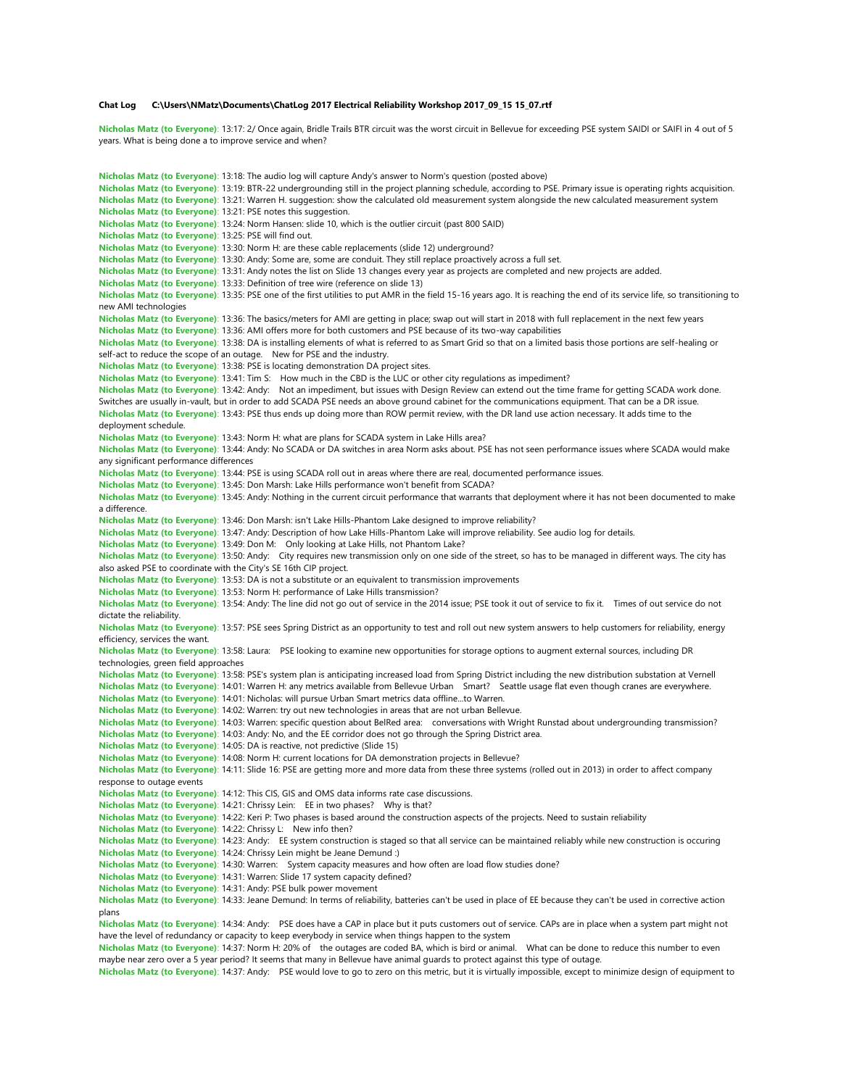## **Chat Log C:\Users\NMatz\Documents\ChatLog 2017 Electrical Reliability Workshop 2017\_09\_15 15\_07.rtf**

**Nicholas Matz (to Everyone)**: 13:17: 2/ Once again, Bridle Trails BTR circuit was the worst circuit in Bellevue for exceeding PSE system SAIDI or SAIFI in 4 out of 5 years. What is being done a to improve service and when?

```
Nicholas Matz (to Everyone): 13:18: The audio log will capture Andy's answer to Norm's question (posted above)
Nicholas Matz (to Everyone): 13:19: BTR-22 undergrounding still in the project planning schedule, according to PSE. Primary issue is operating rights acquisition.
Nicholas Matz (to Everyone): 13:21: Warren H. suggestion: show the calculated old measurement system alongside the new calculated measurement system
Nicholas Matz (to Everyone): 13:21: PSE notes this suggestion.
Nicholas Matz (to Everyone): 13:24: Norm Hansen: slide 10, which is the outlier circuit (past 800 SAID)
Nicholas Matz (to Everyone): 13:25: PSE will find out.
Nicholas Matz (to Everyone): 13:30: Norm H: are these cable replacements (slide 12) underground?
Nicholas Matz (to Everyone): 13:30: Andy: Some are, some are conduit. They still replace proactively across a full set.
Nicholas Matz (to Everyone): 13:31: Andy notes the list on Slide 13 changes every year as projects are completed and new projects are added.
Nicholas Matz (to Everyone): 13:33: Definition of tree wire (reference on slide 13)
Nicholas Matz (to Everyone): 13:35: PSE one of the first utilities to put AMR in the field 15-16 years ago. It is reaching the end of its service life, so transitioning to 
new AMI technologies
Nicholas Matz (to Everyone): 13:36: The basics/meters for AMI are getting in place; swap out will start in 2018 with full replacement in the next few years
Nicholas Matz (to Everyone): 13:36: AMI offers more for both customers and PSE because of its two-way capabilities
Nicholas Matz (to Everyone): 13:38: DA is installing elements of what is referred to as Smart Grid so that on a limited basis those portions are self-healing or 
self-act to reduce the scope of an outage. New for PSE and the industry.
Nicholas Matz (to Everyone): 13:38: PSE is locating demonstration DA project sites.
Nicholas Matz (to Everyone): 13:41: Tim S: How much in the CBD is the LUC or other city regulations as impediment?
Nicholas Matz (to Everyone): 13:42: Andy: Not an impediment, but issues with Design Review can extend out the time frame for getting SCADA work done. 
Switches are usually in-vault, but in order to add SCADA PSE needs an above ground cabinet for the communications equipment. That can be a DR issue.
Nicholas Matz (to Everyone): 13:43: PSE thus ends up doing more than ROW permit review, with the DR land use action necessary. It adds time to the 
deployment schedule.
Nicholas Matz (to Everyone): 13:43: Norm H: what are plans for SCADA system in Lake Hills area?
Nicholas Matz (to Everyone): 13:44: Andy: No SCADA or DA switches in area Norm asks about. PSE has not seen performance issues where SCADA would make 
any significant performance differences
Nicholas Matz (to Everyone): 13:44: PSE is using SCADA roll out in areas where there are real, documented performance issues.
Nicholas Matz (to Everyone): 13:45: Don Marsh: Lake Hills performance won't benefit from SCADA?
Nicholas Matz (to Everyone): 13:45: Andy: Nothing in the current circuit performance that warrants that deployment where it has not been documented to make 
a difference.
Nicholas Matz (to Everyone): 13:46: Don Marsh: isn't Lake Hills-Phantom Lake designed to improve reliability?
Nicholas Matz (to Everyone): 13:47: Andy: Description of how Lake Hills-Phantom Lake will improve reliability. See audio log for details.
Nicholas Matz (to Everyone): 13:49: Don M: Only looking at Lake Hills, not Phantom Lake?
Nicholas Matz (to Everyone): 13:50: Andy: City requires new transmission only on one side of the street, so has to be managed in different ways. The city has 
also asked PSE to coordinate with the City's SE 16th CIP project.
Nicholas Matz (to Everyone): 13:53: DA is not a substitute or an equivalent to transmission improvements
Nicholas Matz (to Everyone): 13:53: Norm H: performance of Lake Hills transmission?
Nicholas Matz (to Everyone): 13:54: Andy: The line did not go out of service in the 2014 issue; PSE took it out of service to fix it. Times of out service do not 
dictate the reliability.
Nicholas Matz (to Everyone): 13:57: PSE sees Spring District as an opportunity to test and roll out new system answers to help customers for reliability, energy 
efficiency, services the want.
Nicholas Matz (to Everyone): 13:58: Laura: PSE looking to examine new opportunities for storage options to augment external sources, including DR 
technologies, green field approaches
Nicholas Matz (to Everyone): 13:58: PSE's system plan is anticipating increased load from Spring District including the new distribution substation at Vernell
Nicholas Matz (to Everyone): 14:01: Warren H: any metrics available from Bellevue Urban Smart? Seattle usage flat even though cranes are everywhere.
Nicholas Matz (to Everyone): 14:01: Nicholas: will pursue Urban Smart metrics data offline...to Warren.
Nicholas Matz (to Everyone): 14:02: Warren: try out new technologies in areas that are not urban Bellevue.
Nicholas Matz (to Everyone): 14:03: Warren: specific question about BelRed area: conversations with Wright Runstad about undergrounding transmission?
Nicholas Matz (to Everyone): 14:03: Andy: No, and the EE corridor does not go through the Spring District area.
Nicholas Matz (to Everyone): 14:05: DA is reactive, not predictive (Slide 15)
Nicholas Matz (to Everyone): 14:08: Norm H: current locations for DA demonstration projects in Bellevue?
Nicholas Matz (to Everyone): 14:11: Slide 16: PSE are getting more and more data from these three systems (rolled out in 2013) in order to affect company 
response to outage events
Nicholas Matz (to Everyone): 14:12: This CIS, GIS and OMS data informs rate case discussions.
Nicholas Matz (to Everyone): 14:21: Chrissy Lein: EE in two phases? Why is that?
Nicholas Matz (to Everyone): 14:22: Keri P: Two phases is based around the construction aspects of the projects. Need to sustain reliability
Nicholas Matz (to Everyone): 14:22: Chrissy L: New info then?
Nicholas Matz (to Everyone): 14:23: Andy: EE system construction is staged so that all service can be maintained reliably while new construction is occuring
Nicholas Matz (to Everyone): 14:24: Chrissy Lein might be Jeane Demund :)
Nicholas Matz (to Everyone): 14:30: Warren: System capacity measures and how often are load flow studies done?
Nicholas Matz (to Everyone): 14:31: Warren: Slide 17 system capacity defined?
Nicholas Matz (to Everyone): 14:31: Andy: PSE bulk power movement
Nicholas Matz (to Everyone): 14:33: Jeane Demund: In terms of reliability, batteries can't be used in place of EE because they can't be used in corrective action 
plans
Nicholas Matz (to Everyone): 14:34: Andy: PSE does have a CAP in place but it puts customers out of service. CAPs are in place when a system part might not 
have the level of redundancy or capacity to keep everybody in service when things happen to the system
```
**Nicholas Matz (to Everyone)**: 14:37: Norm H: 20% of the outages are coded BA, which is bird or animal. What can be done to reduce this number to even maybe near zero over a 5 year period? It seems that many in Bellevue have animal guards to protect against this type of outage.

**Nicholas Matz (to Everyone)**: 14:37: Andy: PSE would love to go to zero on this metric, but it is virtually impossible, except to minimize design of equipment to